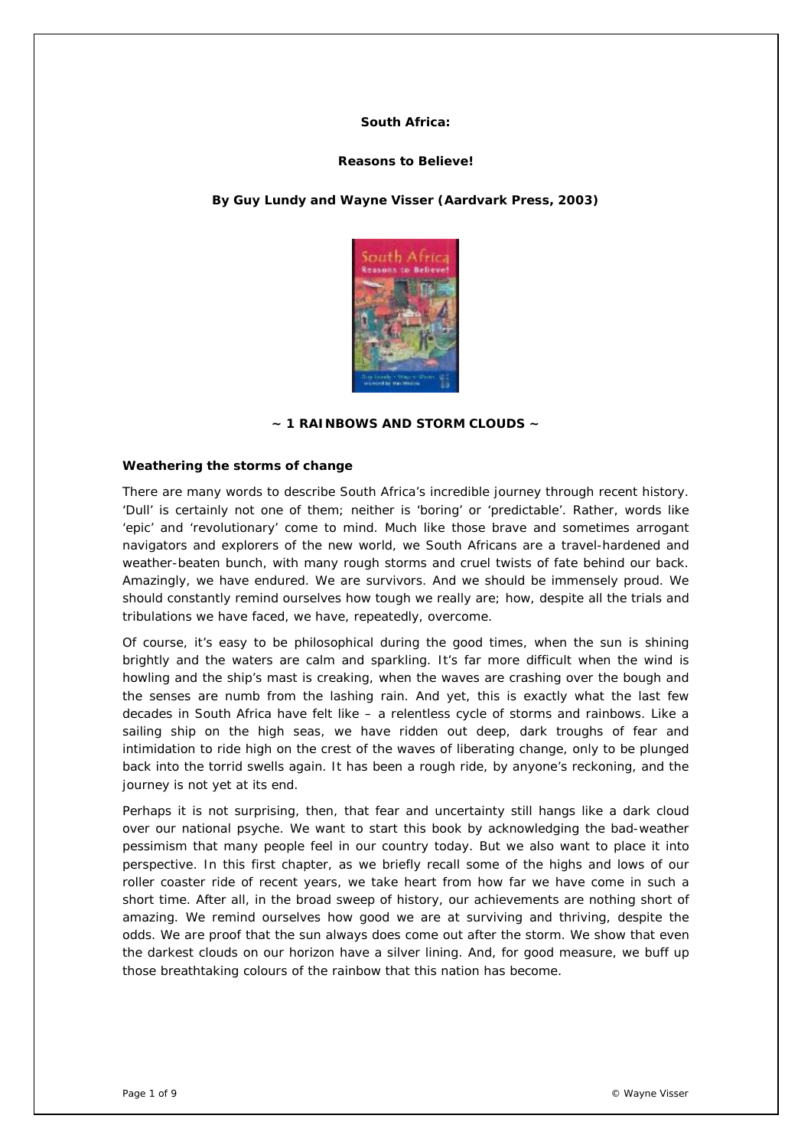### **South Africa:**

### **Reasons to Believe!**

## *By Guy Lundy and Wayne Visser (Aardvark Press, 2003)*



### **~ 1 RAINBOWS AND STORM CLOUDS ~**

#### **Weathering the storms of change**

There are many words to describe South Africa's incredible journey through recent history. 'Dull' is certainly not one of them; neither is 'boring' or 'predictable'. Rather, words like 'epic' and 'revolutionary' come to mind. Much like those brave and sometimes arrogant navigators and explorers of the new world, we South Africans are a travel-hardened and weather-beaten bunch, with many rough storms and cruel twists of fate behind our back. Amazingly, we have endured. We are survivors. And we should be immensely proud. We should constantly remind ourselves how tough we really are; how, despite all the trials and tribulations we have faced, we have, repeatedly, overcome.

Of course, it's easy to be philosophical during the good times, when the sun is shining brightly and the waters are calm and sparkling. It's far more difficult when the wind is howling and the ship's mast is creaking, when the waves are crashing over the bough and the senses are numb from the lashing rain. And yet, this is exactly what the last few decades in South Africa have felt like – a relentless cycle of storms and rainbows. Like a sailing ship on the high seas, we have ridden out deep, dark troughs of fear and intimidation to ride high on the crest of the waves of liberating change, only to be plunged back into the torrid swells again. It has been a rough ride, by anyone's reckoning, and the journey is not yet at its end.

Perhaps it is not surprising, then, that fear and uncertainty still hangs like a dark cloud over our national psyche. We want to start this book by acknowledging the bad-weather pessimism that many people feel in our country today. But we also want to place it into perspective. In this first chapter, as we briefly recall some of the highs and lows of our roller coaster ride of recent years, we take heart from how far we have come in such a short time. After all, in the broad sweep of history, our achievements are nothing short of amazing. We remind ourselves how good we are at surviving and thriving, despite the odds. We are proof that the sun always does come out after the storm. We show that even the darkest clouds on our horizon have a silver lining. And, for good measure, we buff up those breathtaking colours of the rainbow that this nation has become.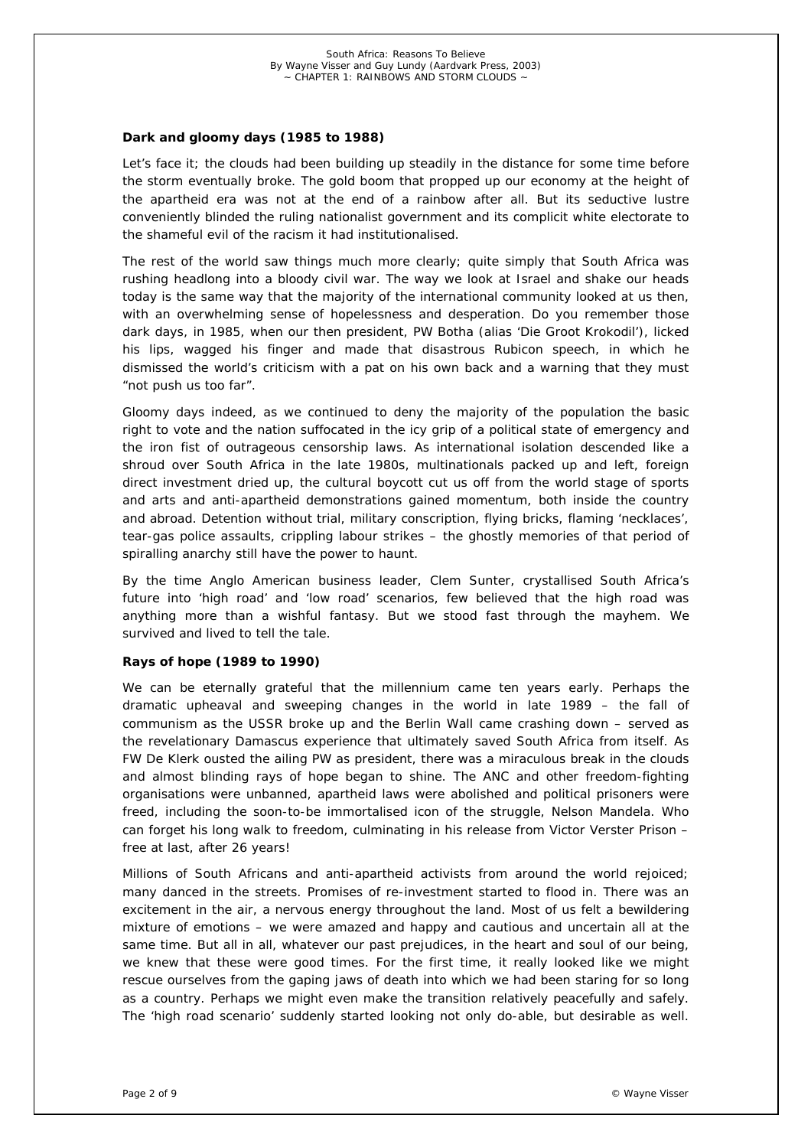## *Dark and gloomy days (1985 to 1988)*

Let's face it; the clouds had been building up steadily in the distance for some time before the storm eventually broke. The gold boom that propped up our economy at the height of the apartheid era was not at the end of a rainbow after all. But its seductive lustre conveniently blinded the ruling nationalist government and its complicit white electorate to the shameful evil of the racism it had institutionalised.

The rest of the world saw things much more clearly; quite simply that South Africa was rushing headlong into a bloody civil war. The way we look at Israel and shake our heads today is the same way that the majority of the international community looked at us then, with an overwhelming sense of hopelessness and desperation. Do you remember those dark days, in 1985, when our then president, PW Botha (alias 'Die Groot Krokodil'), licked his lips, wagged his finger and made that disastrous Rubicon speech, in which he dismissed the world's criticism with a pat on his own back and a warning that they must "not push us too far".

Gloomy days indeed, as we continued to deny the majority of the population the basic right to vote and the nation suffocated in the icy grip of a political state of emergency and the iron fist of outrageous censorship laws. As international isolation descended like a shroud over South Africa in the late 1980s, multinationals packed up and left, foreign direct investment dried up, the cultural boycott cut us off from the world stage of sports and arts and anti-apartheid demonstrations gained momentum, both inside the country and abroad. Detention without trial, military conscription, flying bricks, flaming 'necklaces', tear-gas police assaults, crippling labour strikes – the ghostly memories of that period of spiralling anarchy still have the power to haunt.

By the time Anglo American business leader, Clem Sunter, crystallised South Africa's future into 'high road' and 'low road' scenarios, few believed that the high road was anything more than a wishful fantasy. But we stood fast through the mayhem. We survived and lived to tell the tale.

#### *Rays of hope (1989 to 1990)*

We can be eternally grateful that the millennium came ten years early. Perhaps the dramatic upheaval and sweeping changes in the world in late 1989 – the fall of communism as the USSR broke up and the Berlin Wall came crashing down – served as the revelationary Damascus experience that ultimately saved South Africa from itself. As FW De Klerk ousted the ailing PW as president, there was a miraculous break in the clouds and almost blinding rays of hope began to shine. The ANC and other freedom-fighting organisations were unbanned, apartheid laws were abolished and political prisoners were freed, including the soon-to-be immortalised icon of the struggle, Nelson Mandela. Who can forget his long walk to freedom, culminating in his release from Victor Verster Prison – free at last, after 26 years!

Millions of South Africans and anti-apartheid activists from around the world rejoiced; many danced in the streets. Promises of re-investment started to flood in. There was an excitement in the air, a nervous energy throughout the land. Most of us felt a bewildering mixture of emotions – we were amazed and happy and cautious and uncertain all at the same time. But all in all, whatever our past prejudices, in the heart and soul of our being, we knew that these were good times. For the first time, it really looked like we might rescue ourselves from the gaping jaws of death into which we had been staring for so long as a country. Perhaps we might even make the transition relatively peacefully and safely. The 'high road scenario' suddenly started looking not only do-able, but desirable as well.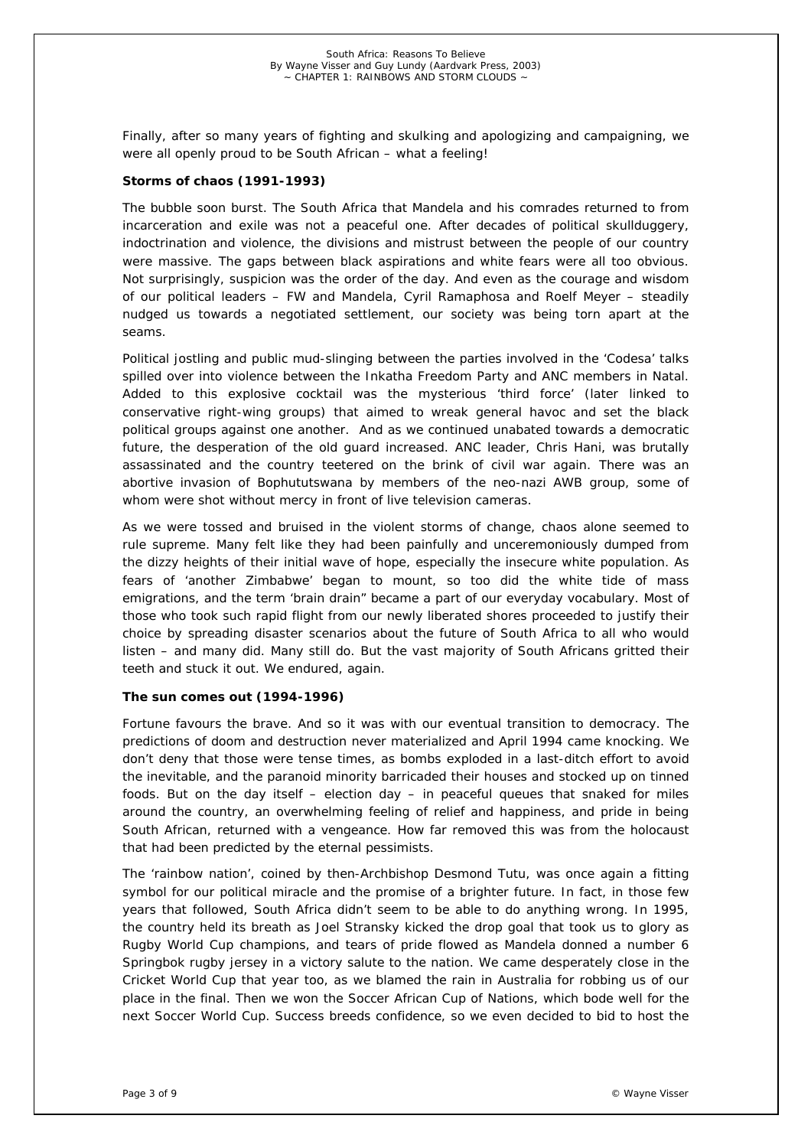Finally, after so many years of fighting and skulking and apologizing and campaigning, we were all openly proud to be South African – what a feeling!

## *Storms of chaos (1991-1993)*

The bubble soon burst. The South Africa that Mandela and his comrades returned to from incarceration and exile was not a peaceful one. After decades of political skullduggery, indoctrination and violence, the divisions and mistrust between the people of our country were massive. The gaps between black aspirations and white fears were all too obvious. Not surprisingly, suspicion was the order of the day. And even as the courage and wisdom of our political leaders – FW and Mandela, Cyril Ramaphosa and Roelf Meyer – steadily nudged us towards a negotiated settlement, our society was being torn apart at the seams.

Political jostling and public mud-slinging between the parties involved in the 'Codesa' talks spilled over into violence between the Inkatha Freedom Party and ANC members in Natal. Added to this explosive cocktail was the mysterious 'third force' (later linked to conservative right-wing groups) that aimed to wreak general havoc and set the black political groups against one another. And as we continued unabated towards a democratic future, the desperation of the old guard increased. ANC leader, Chris Hani, was brutally assassinated and the country teetered on the brink of civil war again. There was an abortive invasion of Bophututswana by members of the neo-nazi AWB group, some of whom were shot without mercy in front of live television cameras.

As we were tossed and bruised in the violent storms of change, chaos alone seemed to rule supreme. Many felt like they had been painfully and unceremoniously dumped from the dizzy heights of their initial wave of hope, especially the insecure white population. As fears of 'another Zimbabwe' began to mount, so too did the white tide of mass emigrations, and the term 'brain drain" became a part of our everyday vocabulary. Most of those who took such rapid flight from our newly liberated shores proceeded to justify their choice by spreading disaster scenarios about the future of South Africa to all who would listen – and many did. Many still do. But the vast majority of South Africans gritted their teeth and stuck it out. We endured, again.

## *The sun comes out (1994-1996)*

Fortune favours the brave. And so it was with our eventual transition to democracy. The predictions of doom and destruction never materialized and April 1994 came knocking. We don't deny that those were tense times, as bombs exploded in a last-ditch effort to avoid the inevitable, and the paranoid minority barricaded their houses and stocked up on tinned foods. But on the day itself – election day – in peaceful queues that snaked for miles around the country, an overwhelming feeling of relief and happiness, and pride in being South African, returned with a vengeance. How far removed this was from the holocaust that had been predicted by the eternal pessimists.

The 'rainbow nation', coined by then-Archbishop Desmond Tutu, was once again a fitting symbol for our political miracle and the promise of a brighter future. In fact, in those few years that followed, South Africa didn't seem to be able to do anything wrong. In 1995, the country held its breath as Joel Stransky kicked the drop goal that took us to glory as Rugby World Cup champions, and tears of pride flowed as Mandela donned a number 6 Springbok rugby jersey in a victory salute to the nation. We came desperately close in the Cricket World Cup that year too, as we blamed the rain in Australia for robbing us of our place in the final. Then we won the Soccer African Cup of Nations, which bode well for the next Soccer World Cup. Success breeds confidence, so we even decided to bid to host the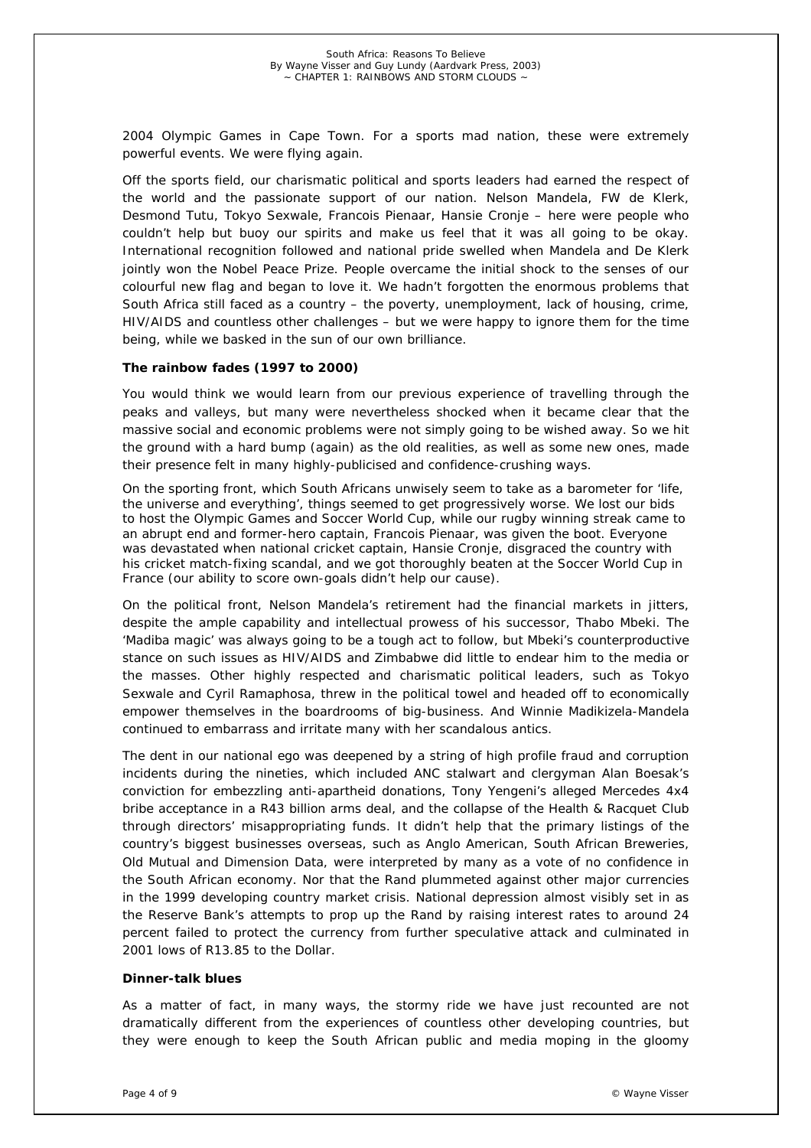2004 Olympic Games in Cape Town. For a sports mad nation, these were extremely powerful events. We were flying again.

Off the sports field, our charismatic political and sports leaders had earned the respect of the world and the passionate support of our nation. Nelson Mandela, FW de Klerk, Desmond Tutu, Tokyo Sexwale, Francois Pienaar, Hansie Cronje – here were people who couldn't help but buoy our spirits and make us feel that it was all going to be okay. International recognition followed and national pride swelled when Mandela and De Klerk jointly won the Nobel Peace Prize. People overcame the initial shock to the senses of our colourful new flag and began to love it. We hadn't forgotten the enormous problems that South Africa still faced as a country – the poverty, unemployment, lack of housing, crime, HIV/AIDS and countless other challenges – but we were happy to ignore them for the time being, while we basked in the sun of our own brilliance.

### *The rainbow fades (1997 to 2000)*

You would think we would learn from our previous experience of travelling through the peaks and valleys, but many were nevertheless shocked when it became clear that the massive social and economic problems were not simply going to be wished away. So we hit the ground with a hard bump (again) as the old realities, as well as some new ones, made their presence felt in many highly-publicised and confidence-crushing ways.

On the sporting front, which South Africans unwisely seem to take as a barometer for 'life, the universe and everything', things seemed to get progressively worse. We lost our bids to host the Olympic Games and Soccer World Cup, while our rugby winning streak came to an abrupt end and former-hero captain, Francois Pienaar, was given the boot. Everyone was devastated when national cricket captain, Hansie Cronje, disgraced the country with his cricket match-fixing scandal, and we got thoroughly beaten at the Soccer World Cup in France (our ability to score own-goals didn't help our cause).

On the political front, Nelson Mandela's retirement had the financial markets in jitters, despite the ample capability and intellectual prowess of his successor, Thabo Mbeki. The 'Madiba magic' was always going to be a tough act to follow, but Mbeki's counterproductive stance on such issues as HIV/AIDS and Zimbabwe did little to endear him to the media or the masses. Other highly respected and charismatic political leaders, such as Tokyo Sexwale and Cyril Ramaphosa, threw in the political towel and headed off to economically empower themselves in the boardrooms of big-business. And Winnie Madikizela-Mandela continued to embarrass and irritate many with her scandalous antics.

The dent in our national ego was deepened by a string of high profile fraud and corruption incidents during the nineties, which included ANC stalwart and clergyman Alan Boesak's conviction for embezzling anti-apartheid donations, Tony Yengeni's alleged Mercedes 4x4 bribe acceptance in a R43 billion arms deal, and the collapse of the Health & Racquet Club through directors' misappropriating funds. It didn't help that the primary listings of the country's biggest businesses overseas, such as Anglo American, South African Breweries, Old Mutual and Dimension Data, were interpreted by many as a vote of no confidence in the South African economy. Nor that the Rand plummeted against other major currencies in the 1999 developing country market crisis. National depression almost visibly set in as the Reserve Bank's attempts to prop up the Rand by raising interest rates to around 24 percent failed to protect the currency from further speculative attack and culminated in 2001 lows of R13.85 to the Dollar.

#### **Dinner-talk blues**

As a matter of fact, in many ways, the stormy ride we have just recounted are not dramatically different from the experiences of countless other developing countries, but they were enough to keep the South African public and media moping in the gloomy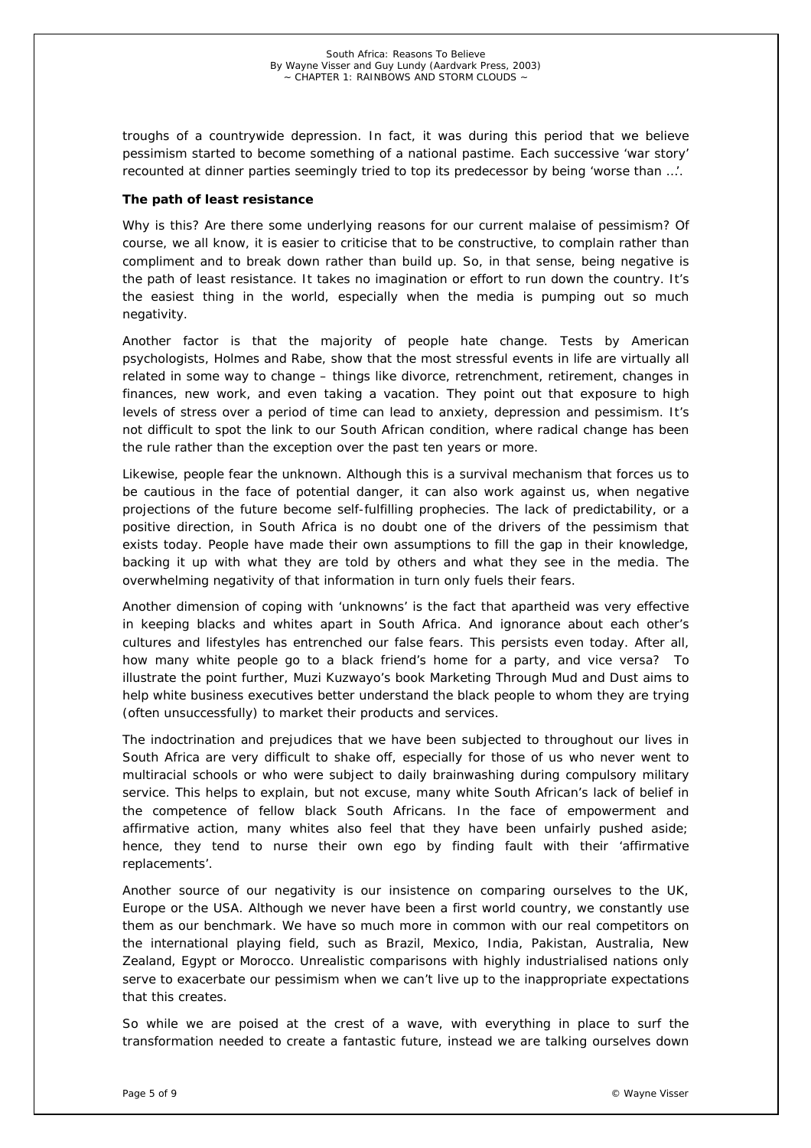troughs of a countrywide depression. In fact, it was during this period that we believe pessimism started to become something of a national pastime. Each successive 'war story' recounted at dinner parties seemingly tried to top its predecessor by being 'worse than …'.

### *The path of least resistance*

Why is this? Are there some underlying reasons for our current malaise of pessimism? Of course, we all know, it is easier to criticise that to be constructive, to complain rather than compliment and to break down rather than build up. So, in that sense, being negative is the path of least resistance. It takes no imagination or effort to run down the country. It's the easiest thing in the world, especially when the media is pumping out so much negativity.

Another factor is that the majority of people hate change. Tests by American psychologists, Holmes and Rabe, show that the most stressful events in life are virtually all related in some way to change – things like divorce, retrenchment, retirement, changes in finances, new work, and even taking a vacation. They point out that exposure to high levels of stress over a period of time can lead to anxiety, depression and pessimism. It's not difficult to spot the link to our South African condition, where radical change has been the rule rather than the exception over the past ten years or more.

Likewise, people fear the unknown. Although this is a survival mechanism that forces us to be cautious in the face of potential danger, it can also work against us, when negative projections of the future become self-fulfilling prophecies. The lack of predictability, or a positive direction, in South Africa is no doubt one of the drivers of the pessimism that exists today. People have made their own assumptions to fill the gap in their knowledge, backing it up with what they are told by others and what they see in the media. The overwhelming negativity of that information in turn only fuels their fears.

Another dimension of coping with 'unknowns' is the fact that apartheid was very effective in keeping blacks and whites apart in South Africa. And ignorance about each other's cultures and lifestyles has entrenched our false fears. This persists even today. After all, how many white people go to a black friend's home for a party, and vice versa? To illustrate the point further, Muzi Kuzwayo's book Marketing Through Mud and Dust aims to help white business executives better understand the black people to whom they are trying (often unsuccessfully) to market their products and services.

The indoctrination and prejudices that we have been subjected to throughout our lives in South Africa are very difficult to shake off, especially for those of us who never went to multiracial schools or who were subject to daily brainwashing during compulsory military service. This helps to explain, but not excuse, many white South African's lack of belief in the competence of fellow black South Africans. In the face of empowerment and affirmative action, many whites also feel that they have been unfairly pushed aside; hence, they tend to nurse their own ego by finding fault with their 'affirmative replacements'.

Another source of our negativity is our insistence on comparing ourselves to the UK, Europe or the USA. Although we never have been a first world country, we constantly use them as our benchmark. We have so much more in common with our real competitors on the international playing field, such as Brazil, Mexico, India, Pakistan, Australia, New Zealand, Egypt or Morocco. Unrealistic comparisons with highly industrialised nations only serve to exacerbate our pessimism when we can't live up to the inappropriate expectations that this creates.

So while we are poised at the crest of a wave, with everything in place to surf the transformation needed to create a fantastic future, instead we are talking ourselves down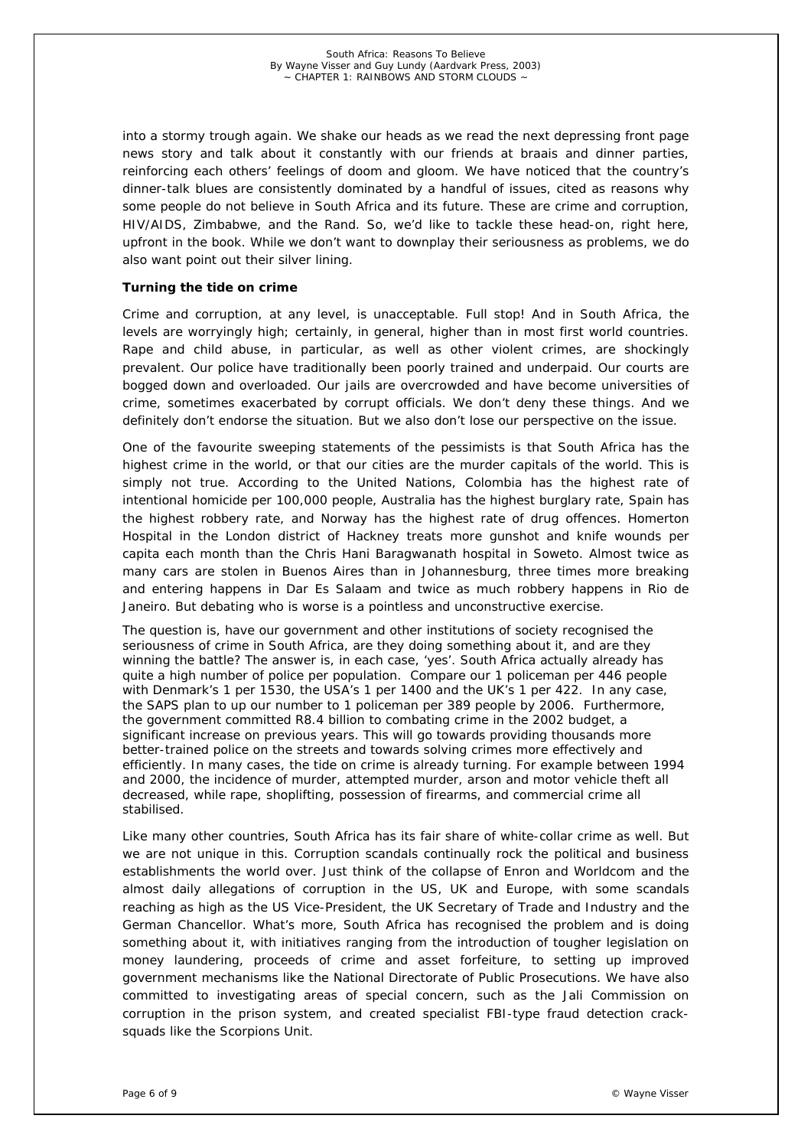into a stormy trough again. We shake our heads as we read the next depressing front page news story and talk about it constantly with our friends at braais and dinner parties, reinforcing each others' feelings of doom and gloom. We have noticed that the country's dinner-talk blues are consistently dominated by a handful of issues, cited as reasons why some people do not believe in South Africa and its future. These are crime and corruption, HIV/AIDS, Zimbabwe, and the Rand. So, we'd like to tackle these head-on, right here, upfront in the book. While we don't want to downplay their seriousness as problems, we do also want point out their silver lining.

## *Turning the tide on crime*

Crime and corruption, at any level, is unacceptable. Full stop! And in South Africa, the levels are worryingly high; certainly, in general, higher than in most first world countries. Rape and child abuse, in particular, as well as other violent crimes, are shockingly prevalent. Our police have traditionally been poorly trained and underpaid. Our courts are bogged down and overloaded. Our jails are overcrowded and have become universities of crime, sometimes exacerbated by corrupt officials. We don't deny these things. And we definitely don't endorse the situation. But we also don't lose our perspective on the issue.

One of the favourite sweeping statements of the pessimists is that South Africa has the highest crime in the world, or that our cities are the murder capitals of the world. This is simply not true. According to the United Nations, Colombia has the highest rate of intentional homicide per 100,000 people, Australia has the highest burglary rate, Spain has the highest robbery rate, and Norway has the highest rate of drug offences. Homerton Hospital in the London district of Hackney treats more gunshot and knife wounds per capita each month than the Chris Hani Baragwanath hospital in Soweto. Almost twice as many cars are stolen in Buenos Aires than in Johannesburg, three times more breaking and entering happens in Dar Es Salaam and twice as much robbery happens in Rio de Janeiro. But debating who is worse is a pointless and unconstructive exercise.

The question is, have our government and other institutions of society recognised the seriousness of crime in South Africa, are they doing something about it, and are they winning the battle? The answer is, in each case, 'yes'. South Africa actually already has quite a high number of police per population. Compare our 1 policeman per 446 people with Denmark's 1 per 1530, the USA's 1 per 1400 and the UK's 1 per 422. In any case, the SAPS plan to up our number to 1 policeman per 389 people by 2006. Furthermore, the government committed R8.4 billion to combating crime in the 2002 budget, a significant increase on previous years. This will go towards providing thousands more better-trained police on the streets and towards solving crimes more effectively and efficiently. In many cases, the tide on crime is already turning. For example between 1994 and 2000, the incidence of murder, attempted murder, arson and motor vehicle theft all decreased, while rape, shoplifting, possession of firearms, and commercial crime all stabilised.

Like many other countries, South Africa has its fair share of white-collar crime as well. But we are not unique in this. Corruption scandals continually rock the political and business establishments the world over. Just think of the collapse of Enron and Worldcom and the almost daily allegations of corruption in the US, UK and Europe, with some scandals reaching as high as the US Vice-President, the UK Secretary of Trade and Industry and the German Chancellor. What's more, South Africa has recognised the problem and is doing something about it, with initiatives ranging from the introduction of tougher legislation on money laundering, proceeds of crime and asset forfeiture, to setting up improved government mechanisms like the National Directorate of Public Prosecutions. We have also committed to investigating areas of special concern, such as the Jali Commission on corruption in the prison system, and created specialist FBI-type fraud detection cracksquads like the Scorpions Unit.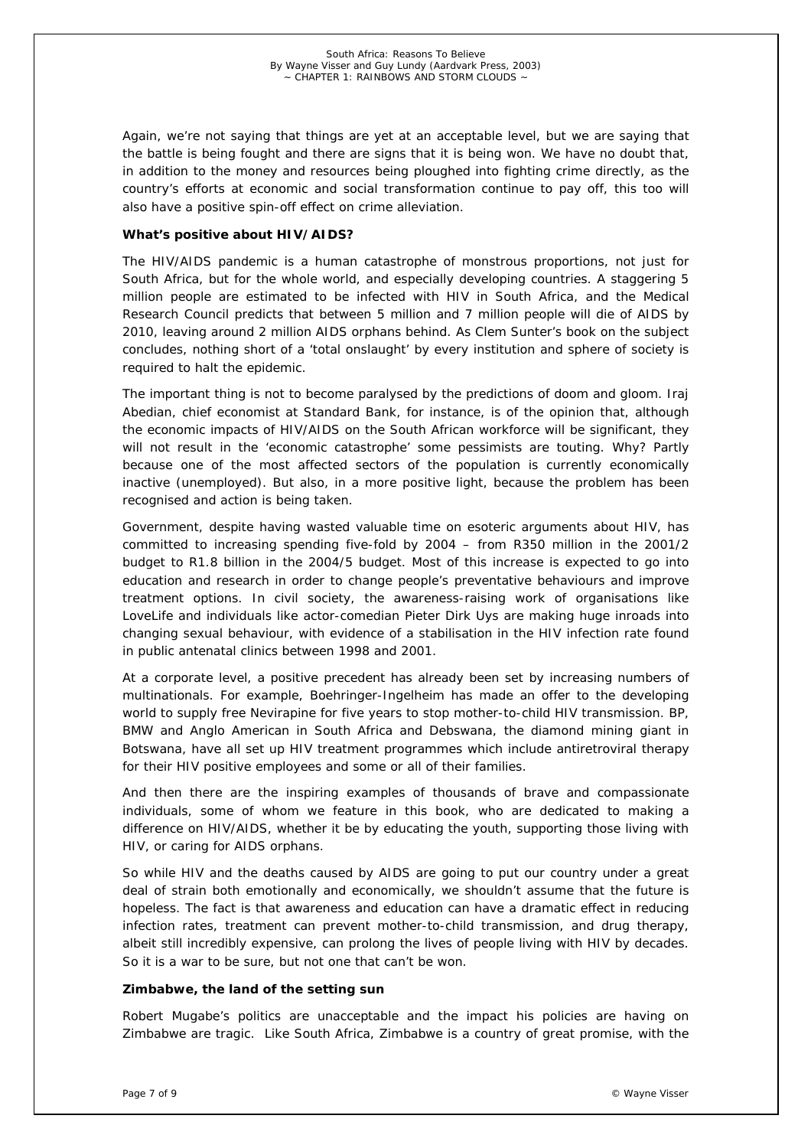Again, we're not saying that things are yet at an acceptable level, but we are saying that the battle is being fought and there are signs that it is being won. We have no doubt that, in addition to the money and resources being ploughed into fighting crime directly, as the country's efforts at economic and social transformation continue to pay off, this too will also have a positive spin-off effect on crime alleviation.

## *What's positive about HIV/AIDS?*

The HIV/AIDS pandemic is a human catastrophe of monstrous proportions, not just for South Africa, but for the whole world, and especially developing countries. A staggering 5 million people are estimated to be infected with HIV in South Africa, and the Medical Research Council predicts that between 5 million and 7 million people will die of AIDS by 2010, leaving around 2 million AIDS orphans behind. As Clem Sunter's book on the subject concludes, nothing short of a 'total onslaught' by every institution and sphere of society is required to halt the epidemic.

The important thing is not to become paralysed by the predictions of doom and gloom. Iraj Abedian, chief economist at Standard Bank, for instance, is of the opinion that, although the economic impacts of HIV/AIDS on the South African workforce will be significant, they will not result in the 'economic catastrophe' some pessimists are touting. Why? Partly because one of the most affected sectors of the population is currently economically inactive (unemployed). But also, in a more positive light, because the problem has been recognised and action is being taken.

Government, despite having wasted valuable time on esoteric arguments about HIV, has committed to increasing spending five-fold by 2004 – from R350 million in the 2001/2 budget to R1.8 billion in the 2004/5 budget. Most of this increase is expected to go into education and research in order to change people's preventative behaviours and improve treatment options. In civil society, the awareness-raising work of organisations like LoveLife and individuals like actor-comedian Pieter Dirk Uys are making huge inroads into changing sexual behaviour, with evidence of a stabilisation in the HIV infection rate found in public antenatal clinics between 1998 and 2001.

At a corporate level, a positive precedent has already been set by increasing numbers of multinationals. For example, Boehringer-Ingelheim has made an offer to the developing world to supply free Nevirapine for five years to stop mother-to-child HIV transmission. BP, BMW and Anglo American in South Africa and Debswana, the diamond mining giant in Botswana, have all set up HIV treatment programmes which include antiretroviral therapy for their HIV positive employees and some or all of their families.

And then there are the inspiring examples of thousands of brave and compassionate individuals, some of whom we feature in this book, who are dedicated to making a difference on HIV/AIDS, whether it be by educating the youth, supporting those living with HIV, or caring for AIDS orphans.

So while HIV and the deaths caused by AIDS are going to put our country under a great deal of strain both emotionally and economically, we shouldn't assume that the future is hopeless. The fact is that awareness and education can have a dramatic effect in reducing infection rates, treatment can prevent mother-to-child transmission, and drug therapy, albeit still incredibly expensive, can prolong the lives of people living with HIV by decades. So it is a war to be sure, but not one that can't be won.

# *Zimbabwe, the land of the setting sun*

Robert Mugabe's politics are unacceptable and the impact his policies are having on Zimbabwe are tragic. Like South Africa, Zimbabwe is a country of great promise, with the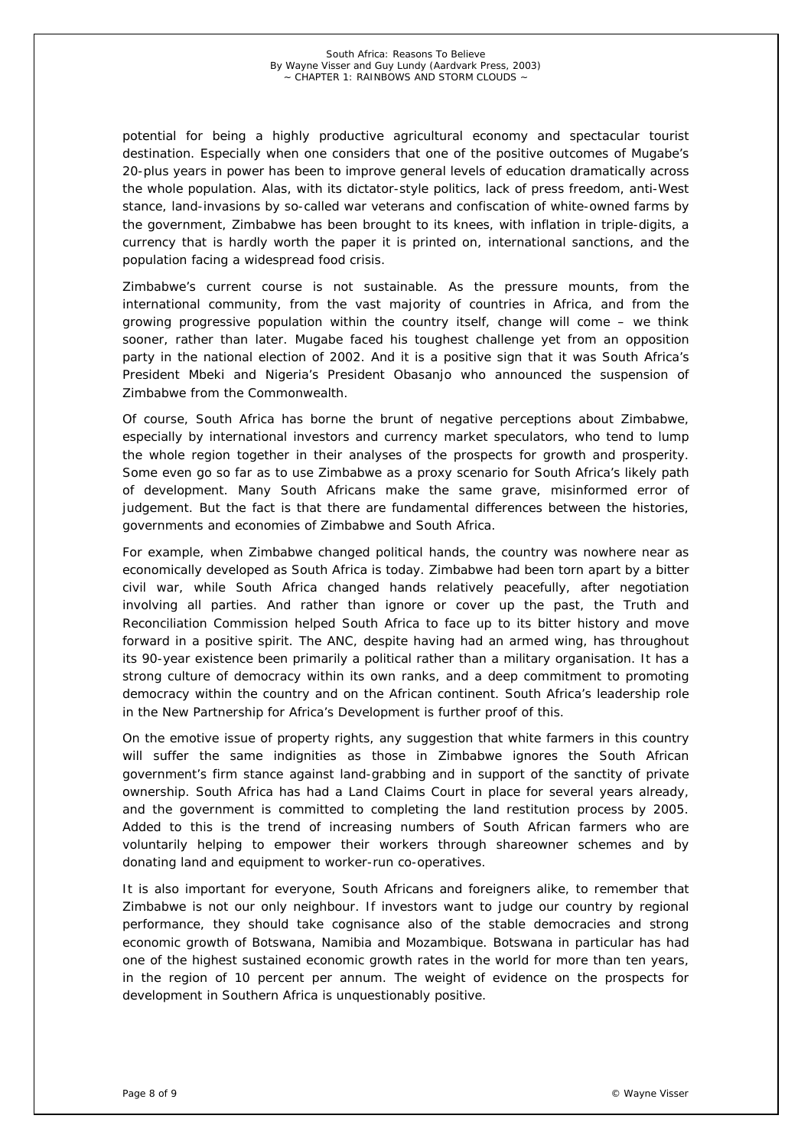potential for being a highly productive agricultural economy and spectacular tourist destination. Especially when one considers that one of the positive outcomes of Mugabe's 20-plus years in power has been to improve general levels of education dramatically across the whole population. Alas, with its dictator-style politics, lack of press freedom, anti-West stance, land-invasions by so-called war veterans and confiscation of white-owned farms by the government, Zimbabwe has been brought to its knees, with inflation in triple-digits, a currency that is hardly worth the paper it is printed on, international sanctions, and the population facing a widespread food crisis.

Zimbabwe's current course is not sustainable. As the pressure mounts, from the international community, from the vast majority of countries in Africa, and from the growing progressive population within the country itself, change will come – we think sooner, rather than later. Mugabe faced his toughest challenge yet from an opposition party in the national election of 2002. And it is a positive sign that it was South Africa's President Mbeki and Nigeria's President Obasanjo who announced the suspension of Zimbabwe from the Commonwealth.

Of course, South Africa has borne the brunt of negative perceptions about Zimbabwe, especially by international investors and currency market speculators, who tend to lump the whole region together in their analyses of the prospects for growth and prosperity. Some even go so far as to use Zimbabwe as a proxy scenario for South Africa's likely path of development. Many South Africans make the same grave, misinformed error of judgement. But the fact is that there are fundamental differences between the histories, governments and economies of Zimbabwe and South Africa.

For example, when Zimbabwe changed political hands, the country was nowhere near as economically developed as South Africa is today. Zimbabwe had been torn apart by a bitter civil war, while South Africa changed hands relatively peacefully, after negotiation involving all parties. And rather than ignore or cover up the past, the Truth and Reconciliation Commission helped South Africa to face up to its bitter history and move forward in a positive spirit. The ANC, despite having had an armed wing, has throughout its 90-year existence been primarily a political rather than a military organisation. It has a strong culture of democracy within its own ranks, and a deep commitment to promoting democracy within the country and on the African continent. South Africa's leadership role in the New Partnership for Africa's Development is further proof of this.

On the emotive issue of property rights, any suggestion that white farmers in this country will suffer the same indignities as those in Zimbabwe ignores the South African government's firm stance against land-grabbing and in support of the sanctity of private ownership. South Africa has had a Land Claims Court in place for several years already, and the government is committed to completing the land restitution process by 2005. Added to this is the trend of increasing numbers of South African farmers who are voluntarily helping to empower their workers through shareowner schemes and by donating land and equipment to worker-run co-operatives.

It is also important for everyone, South Africans and foreigners alike, to remember that Zimbabwe is not our only neighbour. If investors want to judge our country by regional performance, they should take cognisance also of the stable democracies and strong economic growth of Botswana, Namibia and Mozambique. Botswana in particular has had one of the highest sustained economic growth rates in the world for more than ten years, in the region of 10 percent per annum. The weight of evidence on the prospects for development in Southern Africa is unquestionably positive.